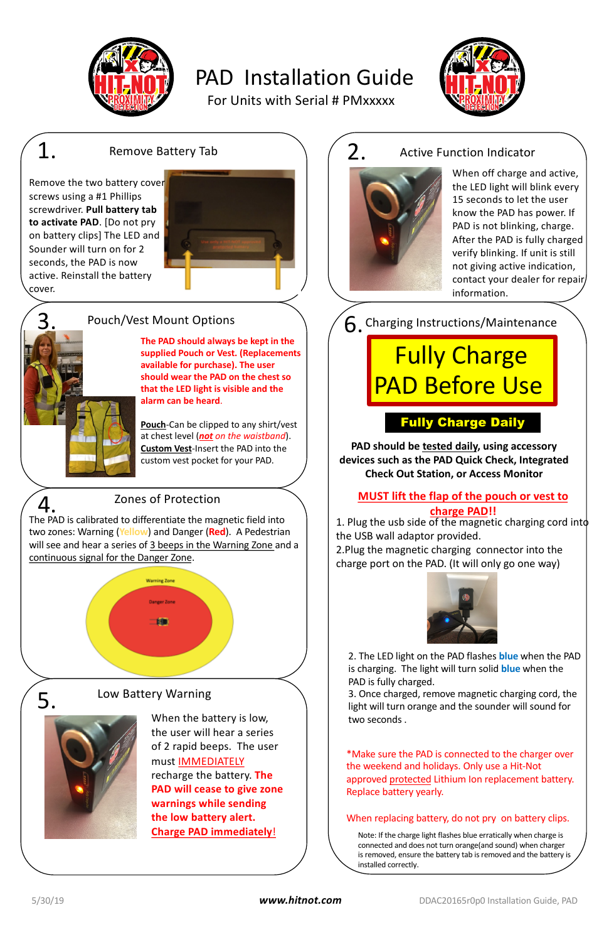

# PAD Installation Guide

*www.hitnot.com*

# Pouch/Vest Mount Options

# Zones of Protection

The PAD is calibrated to differentiate the magnetic field into two zones: Warning (**Yellow**) and Danger (**Red**). A Pedestrian will see and hear a series of 3 beeps in the Warning Zone and a continuous signal for the Danger Zone.



1. Plug the usb side of the magnetic charging cord into the USB wall adaptor provided.

# Fully Charge PAD Before Use

2.Plug the magnetic charging connector into the charge port on the PAD. (It will only go one way)



# Fully Charge Daily

\*Make sure the PAD is connected to the charger over the weekend and holidays. Only use a Hit-Not approved protected Lithium Ion replacement battery. Replace battery yearly.

2. The LED light on the PAD flashes **blue** when the PAD is charging. The light will turn solid **blue** when the PAD is fully charged.

3. Once charged, remove magnetic charging cord, the light will turn orange and the sounder will sound for two seconds .

## **MUST lift the flap of the pouch or vest to charge PAD!!**

# Active Function Indicator



When off charge and active, the LED light will blink every 15 seconds to let the user know the PAD has power. If PAD is not blinking, charge. After the PAD is fully charged verify blinking. If unit is still not giving active indication, contact your dealer for repair information.

6. Charging Instructions/Maintenance

### 1. Remove Battery Tab  $\bigwedge$   $\bigwedge$  2. Remove Battery Tab

Low Battery Warning

When the battery is low, the user will hear a series of 2 rapid beeps. The user must IMMEDIATELY recharge the battery. **The PAD will cease to give zone warnings while sending the low battery alert. Charge PAD immediately**!

**The PAD should always be kept in the supplied Pouch or Vest. (Replacements available for purchase). The user should wear the PAD on the chest so that the LED light is visible and the alarm can be heard**.

**Pouch**-Can be clipped to any shirt/vest at chest level (*not on the waistband*). **Custom Vest**-Insert the PAD into the custom vest pocket for your PAD.

**PAD should be tested daily, using accessory devices such as the PAD Quick Check, Integrated Check Out Station, or Access Monitor**

#### When replacing battery, do not pry on battery clips.

For Units with Serial # PMxxxxx



Note: If the charge light flashes blue erratically when charge is connected and does not turn orange(and sound) when charger is removed, ensure the battery tab is removed and the battery is installed correctly.

3.

4.

5.



Remove the two battery cover screws using a #1 Phillips screwdriver. **Pull battery tab to activate PAD**. [Do not pry on battery clips] The LED and Sounder will turn on for 2 seconds, the PAD is now active. Reinstall the battery cover.